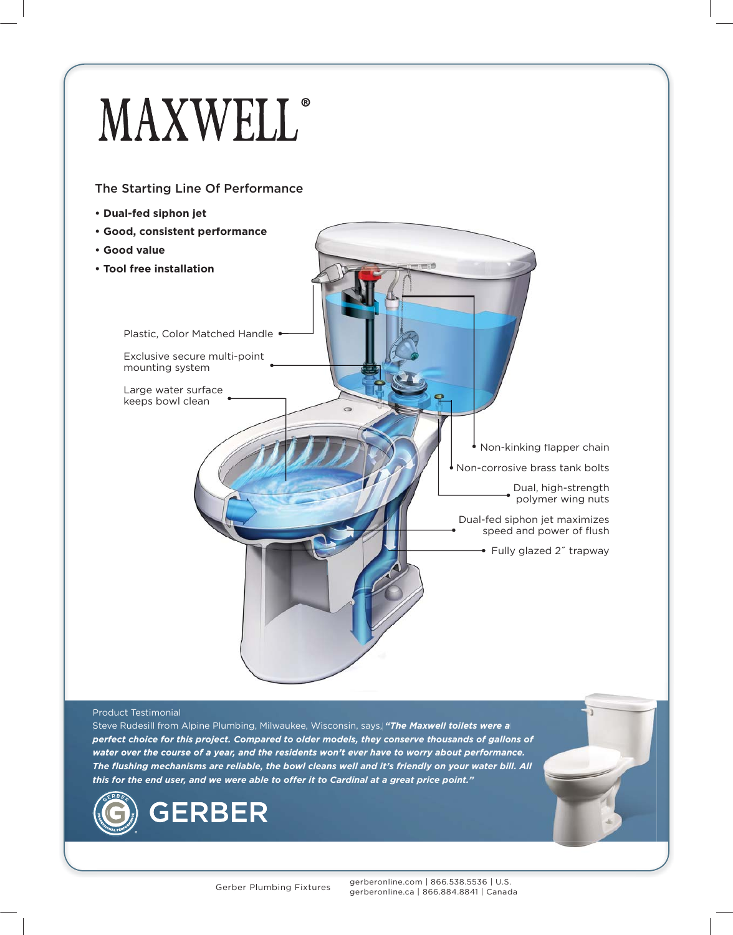## **MAXWELL**®

## The Starting Line Of Performance  $\mathcal{L}$  The Starting Line  $\mathcal{L}$

- **Dual-fed siphon jet**
- **Good, consistent performance**
- **Good value**
- **Tool free installation**

Plastic, Color Matched Handle . Exclusive secure multi-point

Large water surface keeps bowl clean

mounting system

## Product Testimonial Testimonial

Steve Rudesill from Alpine Plumbing, Milwaukee, Wisconsin, says, "The Maxwell toilets were a *perfect choice for this project. Compared to older models, they conserve thousands of gallons of older models, thousands of of water over the course of a year, and the residents won't ever have to worry about performance. The flushing mechanisms are reliable, the bowl cleans well and it's friendly on your water bill. All All this for the end user, and we were able to offer it to Cardinal at a great price point." fl*



Non-kinking flapper chain

Dual, high-strength high-strength polymer wing nuts

Non-corrosive brass tank bolts tank

Dual-fed siphon jet maximizes speed and power of flush Fully glazed 2" trapway